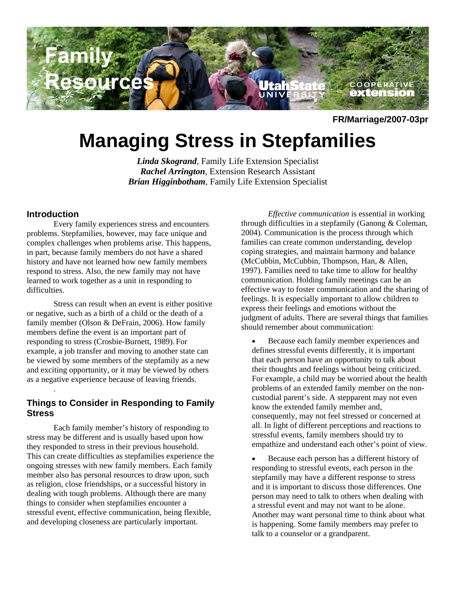

**FR/Marriage/2007-03pr**

# **Managing Stress in Stepfamilies**

*Linda Skogrand,* Family Life Extension Specialist *Rachel Arrington,* Extension Research Assistant *Brian Higginbotham,* Family Life Extension Specialist

## **Introduction**

.

Every family experiences stress and encounters problems. Stepfamilies, however, may face unique and complex challenges when problems arise. This happens, in part, because family members do not have a shared history and have not learned how new family members respond to stress. Also, the new family may not have learned to work together as a unit in responding to difficulties.

Stress can result when an event is either positive or negative, such as a birth of a child or the death of a family member (Olson & DeFrain, 2006). How family members define the event is an important part of responding to stress (Crosbie-Burnett, 1989). For example, a job transfer and moving to another state can be viewed by some members of the stepfamily as a new and exciting opportunity, or it may be viewed by others as a negative experience because of leaving friends.

## **Things to Consider in Responding to Family Stress**

Each family member's history of responding to stress may be different and is usually based upon how they responded to stress in their previous household. This can create difficulties as stepfamilies experience the ongoing stresses with new family members. Each family member also has personal resources to draw upon, such as religion, close friendships, or a successful history in dealing with tough problems. Although there are many things to consider when stepfamilies encounter a stressful event, effective communication, being flexible, and developing closeness are particularly important.

*Effective communication* is essential in working through difficulties in a stepfamily (Ganong & Coleman, 2004). Communication is the process through which families can create common understanding, develop coping strategies, and maintain harmony and balance (McCubbin, McCubbin, Thompson, Han, & Allen, 1997). Families need to take time to allow for healthy communication. Holding family meetings can be an effective way to foster communication and the sharing of feelings. It is especially important to allow children to express their feelings and emotions without the judgment of adults. There are several things that families should remember about communication:

• Because each family member experiences and defines stressful events differently, it is important that each person have an opportunity to talk about their thoughts and feelings without being criticized. For example, a child may be worried about the health problems of an extended family member on the noncustodial parent's side. A stepparent may not even know the extended family member and, consequently, may not feel stressed or concerned at all. In light of different perceptions and reactions to stressful events, family members should try to empathize and understand each other's point of view.

Because each person has a different history of responding to stressful events, each person in the stepfamily may have a different response to stress and it is important to discuss those differences. One person may need to talk to others when dealing with a stressful event and may not want to be alone. Another may want personal time to think about what is happening. Some family members may prefer to talk to a counselor or a grandparent.